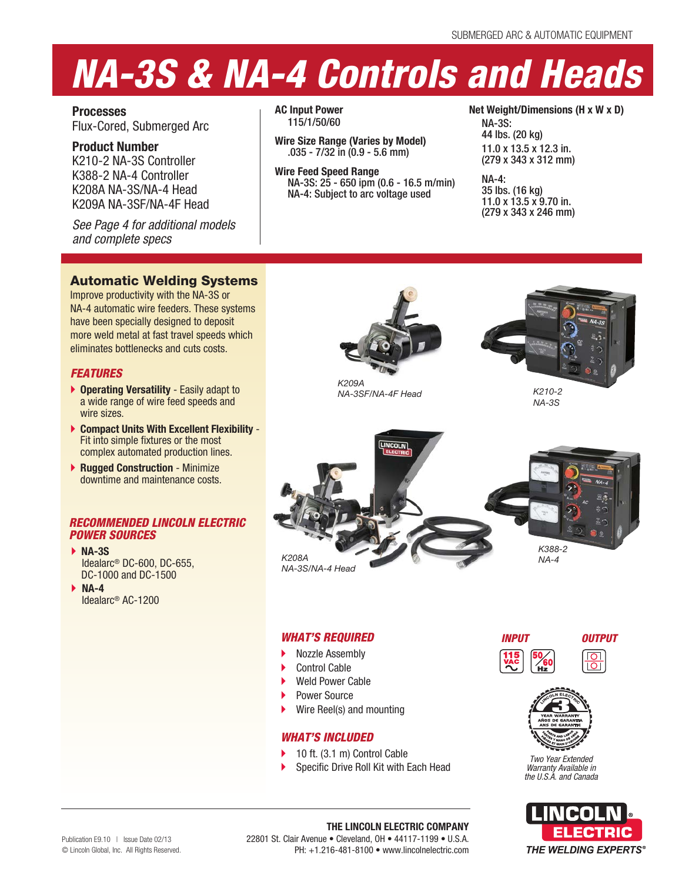# *NA-3S & NA-4 Controls and Heads*

**Processes** Flux-Cored, Submerged Arc

**Product Number** K210-2 NA-3S Controller K388-2 NA-4 Controller K208A NA-3S/NA-4 Head K209A NA-3SF/NA-4F Head

*See Page 4 for additional models and complete specs*

**AC Input Power** 115/1/50/60

**Wire Size Range (Varies by Model)** .035 - 7/32 in (0.9 - 5.6 mm)

**Wire Feed Speed Range** NA-3S: 25 - 650 ipm (0.6 - 16.5 m/min) NA-4: Subject to arc voltage used

**Net Weight/Dimensions (H x W x D)**

NA-3S: 44 lbs. (20 kg) 11.0 x 13.5 x 12.3 in. (279 x 343 x 312 mm)

NA-4: 35 lbs. (16 kg) 11.0 x 13.5 x 9.70 in. (279 x 343 x 246 mm)

# Automatic Welding Systems

Improve productivity with the NA-3S or NA-4 automatic wire feeders. These systems have been specially designed to deposit more weld metal at fast travel speeds which eliminates bottlenecks and cuts costs.

# *FEATURES*

- **Operating Versatility**  Easily adapt to a wide range of wire feed speeds and wire sizes
- **Compact Units With Excellent Flexibility**  Fit into simple fixtures or the most complex automated production lines.
- **Rugged Construction Minimize** downtime and maintenance costs.

# *RECOMMENDED LINCOLN ELECTRIC POWER SOURCES*

- **NA-3S** Idealarc® DC-600, DC-655, DC-1000 and DC-1500
- **NA-4** Idealarc® AC-1200



*K209A NA-3SF/NA-4F Head*



*K210-2 NA-3S*



# *WHAT'S REQUIRED*

- Nozzle Assembly
- Control Cable
- Weld Power Cable
- Power Source
- Wire Reel(s) and mounting

# *WHAT'S INCLUDED*

- 10 ft. (3.1 m) Control Cable
- Specific Drive Roll Kit with Each Head





LINCOLN ELECTRIC

*Two Year Extended Warranty Available in the U.S.A. and Canada*



**THE LINCOLN ELECTRIC COMPANY** 22801 St. Clair Avenue • Cleveland, OH • 44117-1199 • U.S.A. PH: +1.216-481-8100 • www.lincolnelectric.com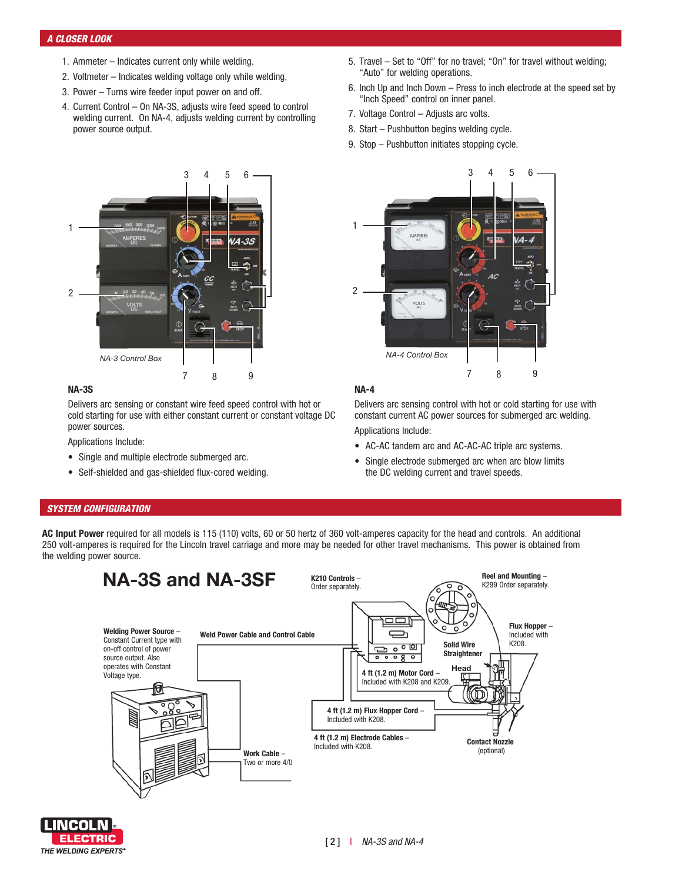# *A CLOSER LOOK*

- 1. Ammeter Indicates current only while welding.
- 2. Voltmeter Indicates welding voltage only while welding.
- 3. Power Turns wire feeder input power on and off.
- 4. Current Control On NA-3S, adjusts wire feed speed to control welding current. On NA-4, adjusts welding current by controlling power source output.
- 5. Travel Set to "Off" for no travel; "On" for travel without welding; "Auto" for welding operations.
- 6. Inch Up and Inch Down Press to inch electrode at the speed set by "Inch Speed" control on inner panel.
- 7. Voltage Control Adjusts arc volts.
- 8. Start Pushbutton begins welding cycle.
- 9. Stop Pushbutton initiates stopping cycle.



# **NA-3S**

Delivers arc sensing or constant wire feed speed control with hot or cold starting for use with either constant current or constant voltage DC power sources.

Applications Include:

- Single and multiple electrode submerged arc.
- Self-shielded and gas-shielded flux-cored welding.



# **NA-4**

Delivers arc sensing control with hot or cold starting for use with constant current AC power sources for submerged arc welding. Applications Include:

- AC-AC tandem arc and AC-AC-AC triple arc systems.
- Single electrode submerged arc when arc blow limits the DC welding current and travel speeds.

# *SYSTEM CONFIGURATION*

**AC Input Power** required for all models is 115 (110) volts, 60 or 50 hertz of 360 volt-amperes capacity for the head and controls. An additional 250 volt-amperes is required for the Lincoln travel carriage and more may be needed for other travel mechanisms. This power is obtained from the welding power source.



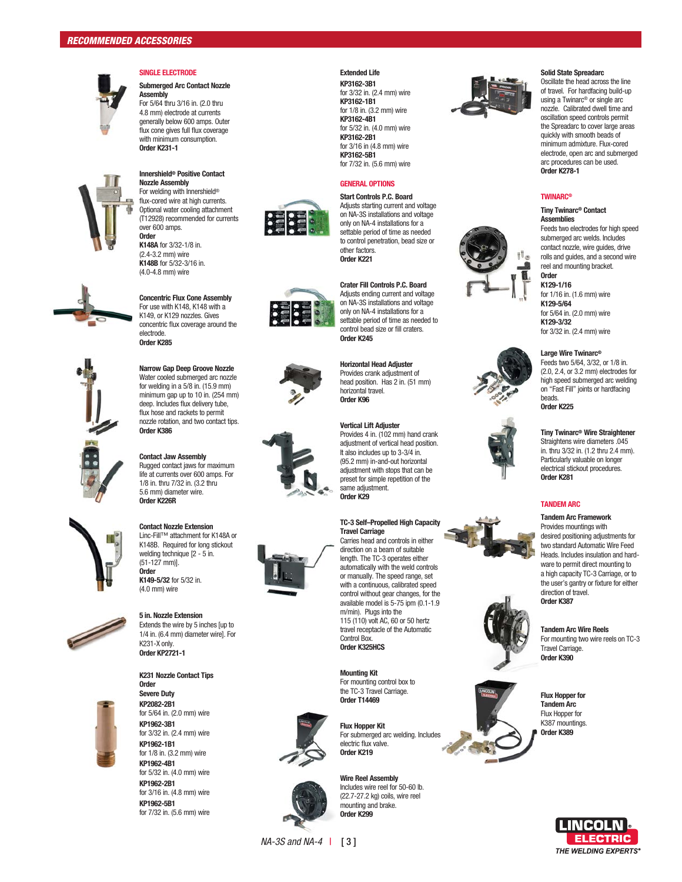

# **SINGLE ELECTRODE**

**Submerged Arc Contact Nozzle Assembly** For 5/64 thru 3/16 in. (2.0 thru 4.8 mm) electrode at currents generally below 600 amps. Outer flux cone gives full flux coverage with minimum consumption. **Order K231-1**



### **Innershield ® Positive Contact Nozzle Assembly** For welding with Innershield ® flux-cored wire at high currents.

Optional water cooling attachment (T12928) recommended for currents over 600 amps. **Order K148A** for 3/32-1/8 in.

(2.4-3.2 mm) wire **K148B** for 5/32-3/16 in. (4.0-4.8 mm) wire



**Concentric Flux Cone Assembly** For use with K148, K148 with a K149, or K129 nozzles. Gives concentric flux coverage around the electrode. **Order K285**



# for welding in a 5/8 in. (15.9 mm) minimum gap up to 10 in. (254 mm) deep. Includes flux delivery tube, flux hose and rackets to permit nozzle rotation, and two contact tips. **Order K386**

**Narrow Gap Deep Groove Nozzle** Water cooled submerged arc nozzle

**Contact Jaw Assembly** Rugged contact jaws for maximum life at currents over 600 amps. For 1/8 in. thru 7/32 in. (3.2 thru 5.6 mm) diameter wire. **Order K226R**



Linc-Fill™ attachment for K148A or K148B. Required for long stickout welding technique [2 - 5 in. (51-127 mm)]. **Order K149-5/32** for 5/32 in. (4.0 mm) wire

**Contact Nozzle Extension**



**5 in. Nozzle Extension** Extends the wire by 5 inches [up to 1/4 in. (6.4 mm) diameter wire]. For K231-X only. **Order KP2721-1**



**K231 Nozzle Contact Tips Order Severe Duty KP2082-2B1**  for 5/64 in. (2.0 mm) wire **KP1962-3B1** for 3/32 in. (2.4 mm) wire **KP1962-1B1**  for 1/8 in. (3.2 mm) wire **KP1962-4B1** for 5/32 in. (4.0 mm) wire **KP1962-2B1** for 3/16 in. (4.8 mm) wire **KP1962-5B1**  for 7/32 in. (5.6 mm) wire

# **Extended Life**

**KP3162-3B1** for 3/32 in. (2.4 mm) wire **KP3162-1B1** for 1/8 in. (3.2 mm) wire **KP3162-4B1** for 5/32 in. (4.0 mm) wire **KP3162-2B1** for 3/16 in (4.8 mm) wire **KP3162-5B1** for 7/32 in. (5.6 mm) wire

# **GENERAL OPTIONS**

**Start Controls P.C. Board** Adjusts starting current and voltage on NA-3S installations and voltage only on NA-4 installations for a settable period of time as needed to control penetration, bead size or other factors. **Order K221**



8 8 1





### **Travel Carriage** Carries head and controls in either direction on a beam of suitable

automatically with the weld controls or manually. The speed range, set with a continuous, calibrated speed control without gear changes, for the available model is 5-75 ipm (0.1-1.9 m/min). Plugs into the 115 (110) volt AC, 60 or 50 hertz travel receptacle of the Automatic **Order K325HCS**



electric flux valve. **Order K219**



*NA-3S and NA-4* | [ 3 ]



### **Crater Fill Controls P.C. Board** Adjusts ending current and voltage

on NA-3S installations and voltage only on NA-4 installations for a settable period of time as needed to control bead size or fill craters. **Order K245**

# **Horizontal Head Adjuster**

Provides crank adjustment of head position. Has 2 in. (51 mm) horizontal travel. **Order K96**

### **Vertical Lift Adjuster**

Provides 4 in. (102 mm) hand crank adjustment of vertical head position. It also includes up to 3-3/4 in. (95.2 mm) in-and-out horizontal adjustment with stops that can be preset for simple repetition of the same adjustment. **Order K29**

**TC-3 Self–Propelled High Capacity** 

length. The TC-3 operates either

**Mounting Kit**



**Flux Hopper Kit**  For submerged arc welding. Includes

**Wire Reel Assembly** mounting and brake. **Order K299**



# **Solid State Spreadarc**

Oscillate the head across the line of travel. For hardfacing build-up using a Twinarc ® or single arc nozzle. Calibrated dwell time and oscillation speed controls permit the Spreadarc to cover large areas quickly with smooth beads of minimum admixture. Flux-cored electrode, open arc and submerged arc procedures can be used. **Order K278-1**

### **TWINARC ®**

### **Tiny Twinarc ® Contact Assemblies**

Feeds two electrodes for high speed submerged arc welds. Includes contact nozzle, wire guides, drive rolls and guides, and a second wire reel and mounting bracket.



for 1/16 in. (1.6 mm) wire **K129-5/64**  for 5/64 in. (2.0 mm) wire **K129-3/32**  for 3/32 in. (2.4 mm) wire

### **Large Wire Twinarc ®**

Feeds two 5/64, 3/32, or 1/8 in. (2.0, 2.4, or 3.2 mm) electrodes for high speed submerged arc welding on "Fast Fill" joints or hardfacing beads. **Order K225**

**Tiny Twinarc ® Wire Straightener**

Straightens wire diameters .045 in. thru 3/32 in. (1.2 thru 2.4 mm). Particularly valuable on longer electrical stickout procedures. **Order K281**

### **TANDEM ARC**

**Tandem Arc Framework** Provides mountings with desired positioning adjustments for two standard Automatic Wire Feed Heads. Includes insulation and hard ware to permit direct mounting to a high capacity TC-3 Carriage, or to the user's gantry or fixture for either direction of travel. **Order K387**













For mounting control box to the TC-3 Travel Carriage. **Order T14469**







Includes wire reel for 50-60 lb. (22.7-27.2 kg) coils, wire reel